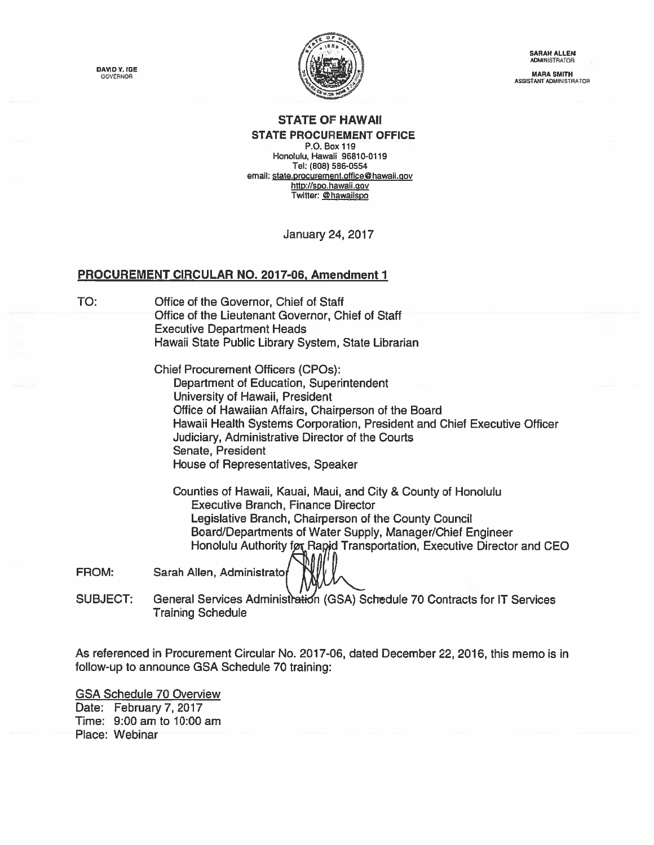DAVID Y. IGE<br>GOVERNOR



SARAH ALLEN **ADMINISTRATOR** 

ASSISTANT ADMINISTRATOR

## STATE OF HAWAII STATE PROCUREMENT OFFICE

P.O. Box 119 Honolulu, Hawaii 96810-0119 Tel: (808) 586-0554 email: state.procurement.office@hawaii.gov http://spo.hawaii.gov Twitter: @hawaiispo

January24, 2017

## PROCUREMENT CIRCULAR NO. 2017-06, Amendment 1

TO: Office of the Governor, Chief of Staff Office of the Lieutenant Governor, Chief of Staff Executive Department Heads Hawaii State Public Library System, State Librarian

> Chief Procurement Officers (CPOs): Department of Education, Superintendent University of Hawaii, President Office of Hawaiian Affairs, Chairperson of the Board Hawaii Health Systems Corporation, President and Chief Executive Officer Judiciary, Administrative Director of the Courts Senate, President House of Representatives, Speaker

Counties of Hawaii, Kauai, Maui, and City & County of Honolulu Executive Branch, Finance Director Legislative Branch, Chairperson of the County Council Board/Departments of Water Supply, Manager/Chief Engineer Honolulu Authority for Rapid Transportation, Executive Director and CEO

FROM: Sarah Allen, Administrato

SUBJECT: General Services Administration (GSA) Schedule 70 Contracts for IT Services Training Schedule

As referenced in [Procurement](https://spo.hawaii.gov/wp-content/uploads/2016/12/2017-06-GSA-IT-Services.pdf) Circular No. 2017-06, dated December 22, 2016, this memo is in follow-up to announce GSA Schedule 70 training:

GSA Schedule 70 Overview Date: February 7, 2017 Time: 9:00 am to 10:00 am Place: Webinar